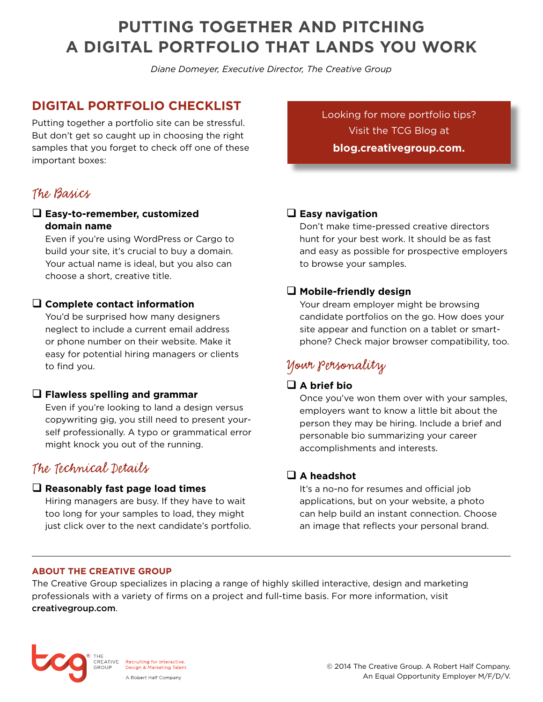# **PUTTING TOGETHER AND PITCHING A DIGITAL PORTFOLIO THAT LANDS YOU WORK**

*Diane Domeyer, Executive Director, The Creative Group*

### **DIGITAL PORTFOLIO CHECKLIST**

Putting together a portfolio site can be stressful. But don't get so caught up in choosing the right samples that you forget to check off one of these important boxes:

## The Basics

#### q **Easy-to-remember, customized domain name**

Even if you're using WordPress or Cargo to build your site, it's crucial to buy a domain. Your actual name is ideal, but you also can choose a short, creative title.

#### q **Complete contact information**

You'd be surprised how many designers neglect to include a current email address or phone number on their website. Make it easy for potential hiring managers or clients to find you.

#### q **Flawless spelling and grammar**

Even if you're looking to land a design versus copywriting gig, you still need to present yourself professionally. A typo or grammatical error might knock you out of the running.

### The Technical Details

#### q **Reasonably fast page load times**

Hiring managers are busy. If they have to wait too long for your samples to load, they might just click over to the next candidate's portfolio. [Looking for more portfolio tips?](http://blog.creativegroup.com.)  [Visit the TCG Blog at](http://blog.creativegroup.com) **[blog.creativegroup.com.](http://blog.creativegroup.com)**

#### q **Easy navigation**

Don't make time-pressed creative directors hunt for your best work. It should be as fast and easy as possible for prospective employers to browse your samples.

#### q **Mobile-friendly design**

Your dream employer might be browsing candidate portfolios on the go. How does your site appear and function on a tablet or smartphone? Check major browser compatibility, too.

## Your Personality

#### q **A brief bio**

Once you've won them over with your samples, employers want to know a little bit about the person they may be hiring. Include a brief and personable bio summarizing your career accomplishments and interests.

#### □ A headshot

It's a no-no for resumes and official job applications, but on your website, a photo can help build an instant connection. Choose an image that reflects your personal brand.

#### **ABOUT THE CREATIVE GROUP**

The Creative Group specializes in placing a range of highly skilled interactive, design and marketing professionals with a variety of firms on a project and full-time basis. [For more information, visit](http://creativegroup.com)  [creativegroup.com](http://creativegroup.com).